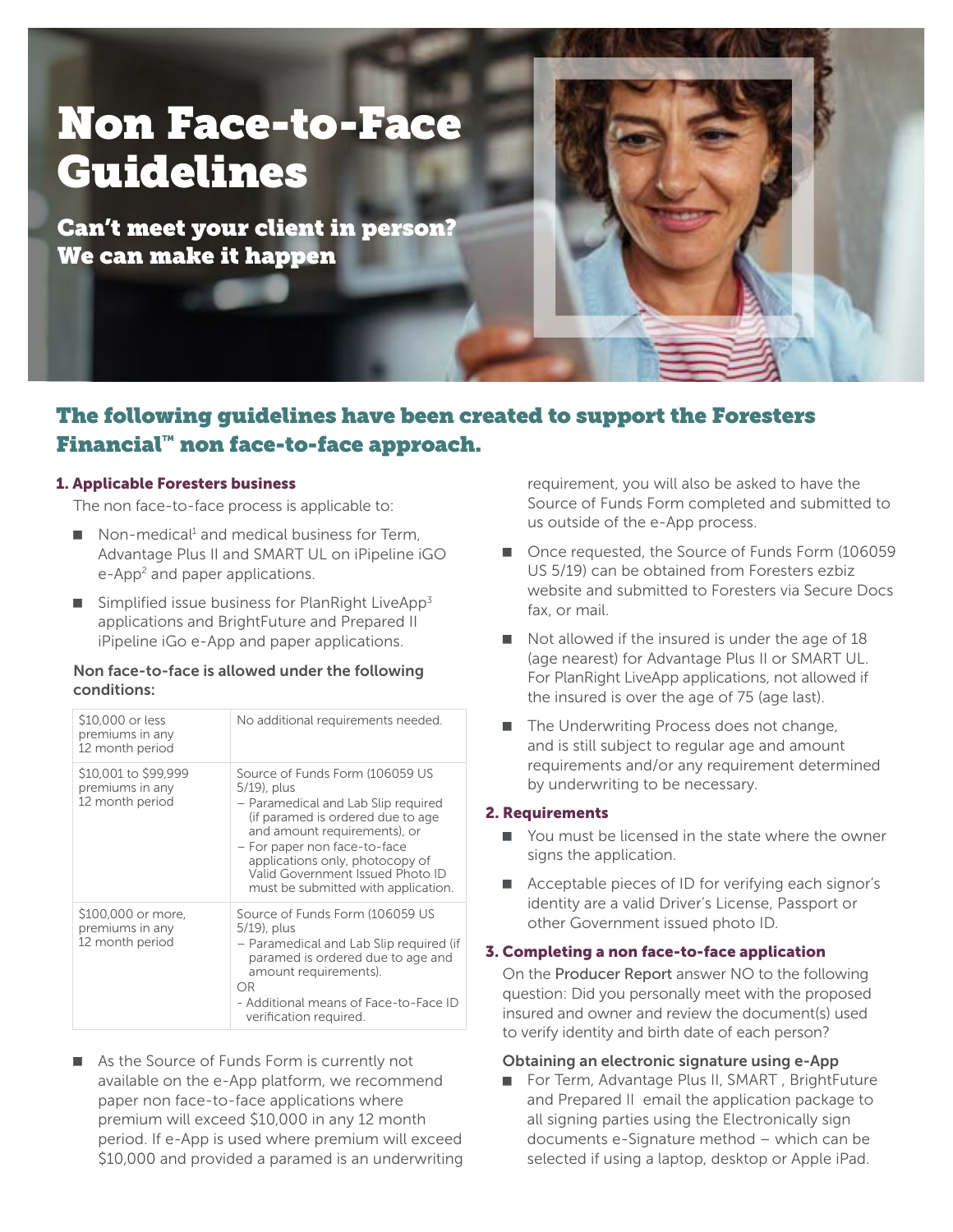# Non Face-to-Face Guidelines

Can't meet your client in person? We can make it happen



## The following guidelines have been created to support the Foresters Financial™ non face-to-face approach.

#### 1. Applicable Foresters business

The non face-to-face process is applicable to:

- $\blacksquare$  Non-medical<sup>1</sup> and medical business for Term, Advantage Plus II and SMART UL on iPipeline iGO e-App<sup>2</sup> and paper applications.
- $\blacksquare$  Simplified issue business for PlanRight LiveApp<sup>3</sup> applications and BrightFuture and Prepared II iPipeline iGo e-App and paper applications.

#### Non face-to-face is allowed under the following conditions:

| \$10,000 or less<br>premiums in any<br>12 month period     | No additional requirements needed.                                                                                                                                                                                                                                                                       |
|------------------------------------------------------------|----------------------------------------------------------------------------------------------------------------------------------------------------------------------------------------------------------------------------------------------------------------------------------------------------------|
| \$10,001 to \$99,999<br>premiums in any<br>12 month period | Source of Funds Form (106059 US<br>5/19), plus<br>- Paramedical and Lab Slip required<br>(if paramed is ordered due to age<br>and amount requirements), or<br>- For paper non face-to-face<br>applications only, photocopy of<br>Valid Government Issued Photo ID<br>must be submitted with application. |
| \$100,000 or more,<br>premiums in any<br>12 month period   | Source of Funds Form (106059 US<br>5/19), plus<br>- Paramedical and Lab Slip required (if<br>paramed is ordered due to age and<br>amount requirements).<br>OR<br>- Additional means of Face-to-Face ID<br>verification required.                                                                         |

■ As the Source of Funds Form is currently not available on the e-App platform, we recommend paper non face-to-face applications where premium will exceed \$10,000 in any 12 month period. If e-App is used where premium will exceed \$10,000 and provided a paramed is an underwriting requirement, you will also be asked to have the Source of Funds Form completed and submitted to us outside of the e-App process.

- Once requested, the Source of Funds Form (106059) US 5/19) can be obtained from Foresters ezbiz website and submitted to Foresters via Secure Docs fax, or mail.
- $\blacksquare$  Not allowed if the insured is under the age of 18 (age nearest) for Advantage Plus II or SMART UL. For PlanRight LiveApp applications, not allowed if the insured is over the age of 75 (age last).
- $\blacksquare$  The Underwriting Process does not change, and is still subject to regular age and amount requirements and/or any requirement determined by underwriting to be necessary.

#### 2. Requirements

- You must be licensed in the state where the owner signs the application.
- Acceptable pieces of ID for verifying each signor's identity are a valid Driver's License, Passport or other Government issued photo ID.

#### 3. Completing a non face-to-face application

On the Producer Report answer NO to the following question: Did you personally meet with the proposed insured and owner and review the document(s) used to verify identity and birth date of each person?

#### Obtaining an electronic signature using e-App

For Term, Advantage Plus II, SMART, BrightFuture and Prepared II email the application package to all signing parties using the Electronically sign documents e-Signature method – which can be selected if using a laptop, desktop or Apple iPad.